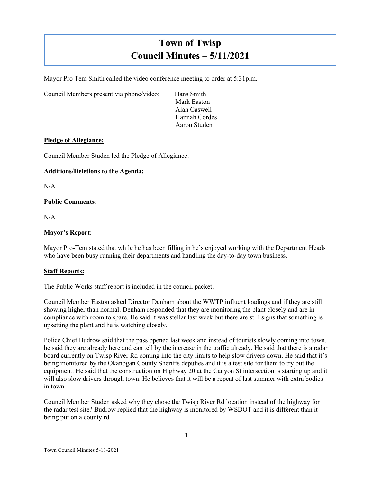# **Town of Twisp Council Minutes – 5/11/2021**

Mayor Pro Tem Smith called the video conference meeting to order at 5:31p.m.

Council Members present via phone/video: Hans Smith

Mark Easton Alan Caswell Hannah Cordes Aaron Studen

# **Pledge of Allegiance:**

Council Member Studen led the Pledge of Allegiance.

## **Additions/Deletions to the Agenda:**

 $N/A$ 

]

# **Public Comments:**

N/A

# **Mayor's Report**:

Mayor Pro-Tem stated that while he has been filling in he's enjoyed working with the Department Heads who have been busy running their departments and handling the day-to-day town business.

## **Staff Reports:**

The Public Works staff report is included in the council packet.

Council Member Easton asked Director Denham about the WWTP influent loadings and if they are still showing higher than normal. Denham responded that they are monitoring the plant closely and are in compliance with room to spare. He said it was stellar last week but there are still signs that something is upsetting the plant and he is watching closely.

Police Chief Budrow said that the pass opened last week and instead of tourists slowly coming into town, he said they are already here and can tell by the increase in the traffic already. He said that there is a radar board currently on Twisp River Rd coming into the city limits to help slow drivers down. He said that it's being monitored by the Okanogan County Sheriffs deputies and it is a test site for them to try out the equipment. He said that the construction on Highway 20 at the Canyon St intersection is starting up and it will also slow drivers through town. He believes that it will be a repeat of last summer with extra bodies in town.

Council Member Studen asked why they chose the Twisp River Rd location instead of the highway for the radar test site? Budrow replied that the highway is monitored by WSDOT and it is different than it being put on a county rd.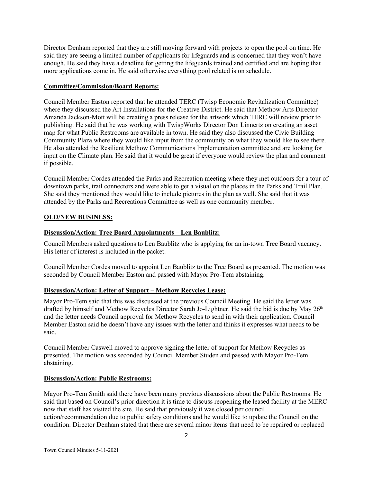Director Denham reported that they are still moving forward with projects to open the pool on time. He said they are seeing a limited number of applicants for lifeguards and is concerned that they won't have enough. He said they have a deadline for getting the lifeguards trained and certified and are hoping that more applications come in. He said otherwise everything pool related is on schedule.

## **Committee/Commission/Board Reports:**

Council Member Easton reported that he attended TERC (Twisp Economic Revitalization Committee) where they discussed the Art Installations for the Creative District. He said that Methow Arts Director Amanda Jackson-Mott will be creating a press release for the artwork which TERC will review prior to publishing. He said that he was working with TwispWorks Director Don Linnertz on creating an asset map for what Public Restrooms are available in town. He said they also discussed the Civic Building Community Plaza where they would like input from the community on what they would like to see there. He also attended the Resilient Methow Communications Implementation committee and are looking for input on the Climate plan. He said that it would be great if everyone would review the plan and comment if possible.

Council Member Cordes attended the Parks and Recreation meeting where they met outdoors for a tour of downtown parks, trail connectors and were able to get a visual on the places in the Parks and Trail Plan. She said they mentioned they would like to include pictures in the plan as well. She said that it was attended by the Parks and Recreations Committee as well as one community member.

## **OLD/NEW BUSINESS:**

# **Discussion/Action: Tree Board Appointments – Len Baublitz:**

Council Members asked questions to Len Baublitz who is applying for an in-town Tree Board vacancy. His letter of interest is included in the packet.

Council Member Cordes moved to appoint Len Baublitz to the Tree Board as presented. The motion was seconded by Council Member Easton and passed with Mayor Pro-Tem abstaining.

## **Discussion/Action: Letter of Support – Methow Recycles Lease:**

Mayor Pro-Tem said that this was discussed at the previous Council Meeting. He said the letter was drafted by himself and Methow Recycles Director Sarah Jo-Lightner. He said the bid is due by May 26<sup>th</sup> and the letter needs Council approval for Methow Recycles to send in with their application. Council Member Easton said he doesn't have any issues with the letter and thinks it expresses what needs to be said.

Council Member Caswell moved to approve signing the letter of support for Methow Recycles as presented. The motion was seconded by Council Member Studen and passed with Mayor Pro-Tem abstaining.

## **Discussion/Action: Public Restrooms:**

Mayor Pro-Tem Smith said there have been many previous discussions about the Public Restrooms. He said that based on Council's prior direction it is time to discuss reopening the leased facility at the MERC now that staff has visited the site. He said that previously it was closed per council action/recommendation due to public safety conditions and he would like to update the Council on the condition. Director Denham stated that there are several minor items that need to be repaired or replaced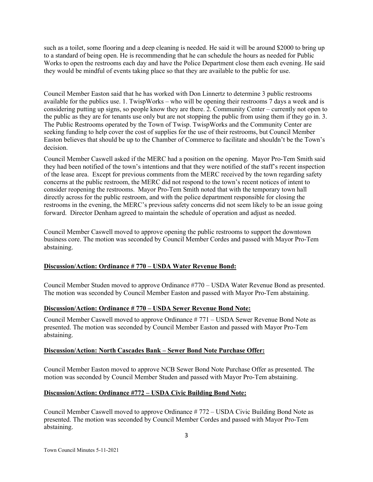such as a toilet, some flooring and a deep cleaning is needed. He said it will be around \$2000 to bring up to a standard of being open. He is recommending that he can schedule the hours as needed for Public Works to open the restrooms each day and have the Police Department close them each evening. He said they would be mindful of events taking place so that they are available to the public for use.

Council Member Easton said that he has worked with Don Linnertz to determine 3 public restrooms available for the publics use. 1. TwispWorks – who will be opening their restrooms 7 days a week and is considering putting up signs, so people know they are there. 2. Community Center – currently not open to the public as they are for tenants use only but are not stopping the public from using them if they go in. 3. The Public Restrooms operated by the Town of Twisp. TwispWorks and the Community Center are seeking funding to help cover the cost of supplies for the use of their restrooms, but Council Member Easton believes that should be up to the Chamber of Commerce to facilitate and shouldn't be the Town's decision.

Council Member Caswell asked if the MERC had a position on the opening. Mayor Pro-Tem Smith said they had been notified of the town's intentions and that they were notified of the staff's recent inspection of the lease area. Except for previous comments from the MERC received by the town regarding safety concerns at the public restroom, the MERC did not respond to the town's recent notices of intent to consider reopening the restrooms. Mayor Pro-Tem Smith noted that with the temporary town hall directly across for the public restroom, and with the police department responsible for closing the restrooms in the evening, the MERC's previous safety concerns did not seem likely to be an issue going forward. Director Denham agreed to maintain the schedule of operation and adjust as needed.

Council Member Caswell moved to approve opening the public restrooms to support the downtown business core. The motion was seconded by Council Member Cordes and passed with Mayor Pro-Tem abstaining.

## **Discussion/Action: Ordinance # 770 – USDA Water Revenue Bond:**

Council Member Studen moved to approve Ordinance #770 – USDA Water Revenue Bond as presented. The motion was seconded by Council Member Easton and passed with Mayor Pro-Tem abstaining.

## **Discussion/Action: Ordinance # 770 – USDA Sewer Revenue Bond Note:**

Council Member Caswell moved to approve Ordinance # 771 – USDA Sewer Revenue Bond Note as presented. The motion was seconded by Council Member Easton and passed with Mayor Pro-Tem abstaining.

## **Discussion/Action: North Cascades Bank – Sewer Bond Note Purchase Offer:**

Council Member Easton moved to approve NCB Sewer Bond Note Purchase Offer as presented. The motion was seconded by Council Member Studen and passed with Mayor Pro-Tem abstaining.

## **Discussion/Action: Ordinance #772 – USDA Civic Building Bond Note:**

Council Member Caswell moved to approve Ordinance # 772 – USDA Civic Building Bond Note as presented. The motion was seconded by Council Member Cordes and passed with Mayor Pro-Tem abstaining.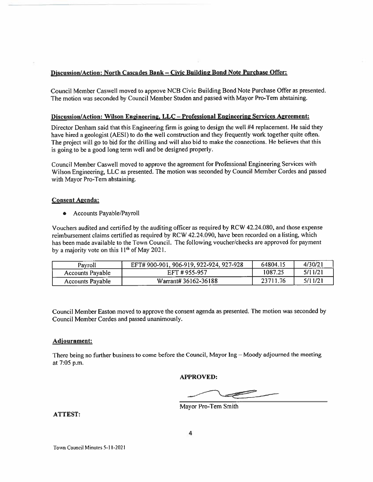#### Discussion/Action: North Cascades Bank – Civic Building Bond Note Purchase Offer:

Council Member Caswell moved to approve NCB Civic Building Bond Note Purchase Offer as presented. The motion was seconded by Council Member Studen and passed with Mayor Pro-Tem abstaining.

#### Discussion/Action: Wilson Engineering, LLC - Professional Engineering Services Agreement:

Director Denham said that this Engineering firm is going to design the well #4 replacement. He said they have hired a geologist (AESI) to do the well construction and they frequently work together quite often. The project will go to bid for the drilling and will also bid to make the connections. He believes that this is going to be a good long term well and be designed properly.

Council Member Caswell moved to approve the agreement for Professional Engineering Services with Wilson Engineering, LLC as presented. The motion was seconded by Council Member Cordes and passed with Mayor Pro-Tem abstaining.

#### **Consent Agenda:**

• Accounts Payable/Payroll

Vouchers audited and certified by the auditing officer as required by RCW 42.24.080, and those expense reimbursement claims certified as required by RCW 42.24.090, have been recorded on a listing, which has been made available to the Town Council. The following voucher/checks are approved for payment by a majority vote on this 11<sup>th</sup> of May 2021.

| Pavroll                 | EFT# 900-901, 906-919, 922-924, 927-928 | 64804.15 | $4/30/2$ <sup>t</sup> |
|-------------------------|-----------------------------------------|----------|-----------------------|
| <b>Accounts Payable</b> | EFT #955-957                            | 1087.25  | 5/11/2 <sub>1</sub>   |
| <b>Accounts Payable</b> | Warrant# 36162-36188                    | 23711.76 | 5/11/2 <sub>1</sub>   |

Council Member Easton moved to approve the consent agenda as presented. The motion was seconded by Council Member Cordes and passed unanimously.

#### Adjournment:

There being no further business to come before the Council, Mayor Ing - Moody adjourned the meeting at 7:05 p.m.

**APPROVED:** 

Mayor Pro-Tem Smith

**ATTEST:**